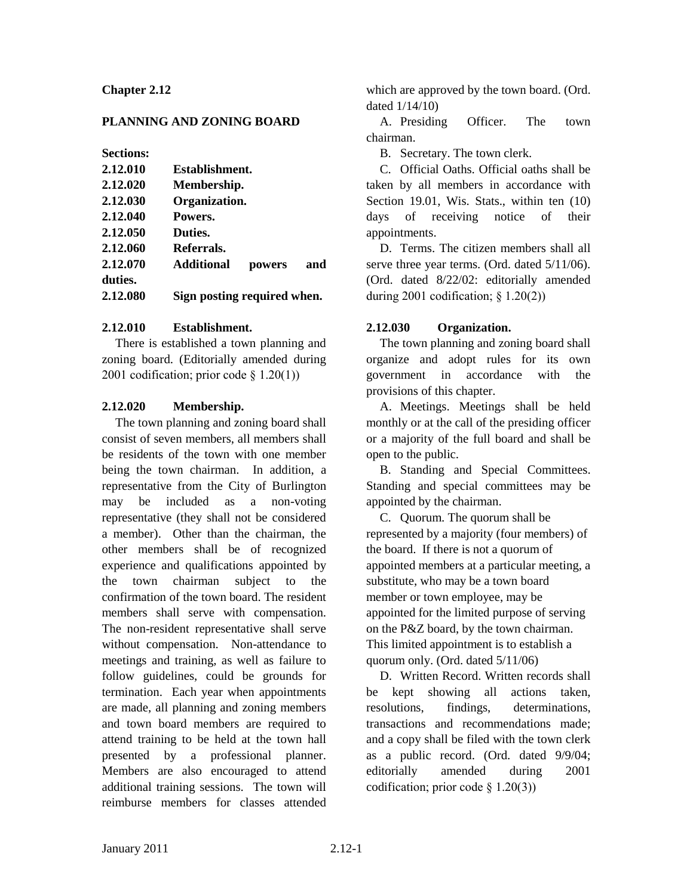## **Chapter 2.12**

## **PLANNING AND ZONING BOARD**

**Sections:**

| 2.12.010 | Establishment.              |     |
|----------|-----------------------------|-----|
| 2.12.020 | Membership.                 |     |
| 2.12.030 | Organization.               |     |
| 2.12.040 | Powers.                     |     |
| 2.12.050 | Duties.                     |     |
| 2.12.060 | Referrals.                  |     |
| 2.12.070 | <b>Additional</b><br>powers | and |
| duties.  |                             |     |
| 2.12.080 | Sign posting required when. |     |

#### **2.12.010 Establishment.**

There is established a town planning and zoning board. (Editorially amended during 2001 codification; prior code  $\S$  1.20(1))

### **2.12.020 Membership.**

The town planning and zoning board shall consist of seven members, all members shall be residents of the town with one member being the town chairman. In addition, a representative from the City of Burlington may be included as a non-voting representative (they shall not be considered a member). Other than the chairman, the other members shall be of recognized experience and qualifications appointed by the town chairman subject to the confirmation of the town board. The resident members shall serve with compensation. The non-resident representative shall serve without compensation. Non-attendance to meetings and training, as well as failure to follow guidelines, could be grounds for termination. Each year when appointments are made, all planning and zoning members and town board members are required to attend training to be held at the town hall presented by a professional planner. Members are also encouraged to attend additional training sessions. The town will reimburse members for classes attended

which are approved by the town board. (Ord. dated 1/14/10)

A. Presiding Officer. The town chairman.

B. Secretary. The town clerk.

C. Official Oaths. Official oaths shall be taken by all members in accordance with Section 19.01, Wis. Stats., within ten  $(10)$ days of receiving notice of their appointments.

D. Terms. The citizen members shall all serve three year terms. (Ord. dated 5/11/06). (Ord. dated 8/22/02: editorially amended during 2001 codification;  $\S$  1.20(2))

### **2.12.030 Organization.**

The town planning and zoning board shall organize and adopt rules for its own government in accordance with the provisions of this chapter.

A. Meetings. Meetings shall be held monthly or at the call of the presiding officer or a majority of the full board and shall be open to the public.

B. Standing and Special Committees. Standing and special committees may be appointed by the chairman.

C. Quorum. The quorum shall be represented by a majority (four members) of the board. If there is not a quorum of appointed members at a particular meeting, a substitute, who may be a town board member or town employee, may be appointed for the limited purpose of serving on the P&Z board, by the town chairman. This limited appointment is to establish a quorum only. (Ord. dated 5/11/06)

D. Written Record. Written records shall be kept showing all actions taken, resolutions, findings, determinations, transactions and recommendations made; and a copy shall be filed with the town clerk as a public record. (Ord. dated 9/9/04; editorially amended during 2001 codification; prior code  $\S$  1.20(3))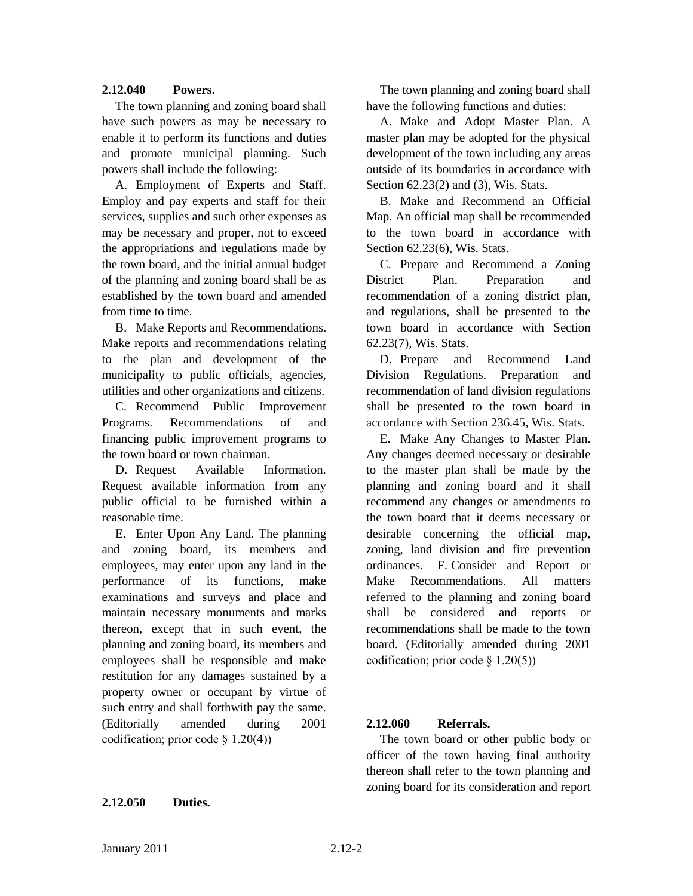### **2.12.040 Powers.**

The town planning and zoning board shall have such powers as may be necessary to enable it to perform its functions and duties and promote municipal planning. Such powers shall include the following:

A. Employment of Experts and Staff. Employ and pay experts and staff for their services, supplies and such other expenses as may be necessary and proper, not to exceed the appropriations and regulations made by the town board, and the initial annual budget of the planning and zoning board shall be as established by the town board and amended from time to time.

B. Make Reports and Recommendations. Make reports and recommendations relating to the plan and development of the municipality to public officials, agencies, utilities and other organizations and citizens.

C. Recommend Public Improvement Programs. Recommendations of and financing public improvement programs to the town board or town chairman.

D. Request Available Information. Request available information from any public official to be furnished within a reasonable time.

E. Enter Upon Any Land. The planning and zoning board, its members and employees, may enter upon any land in the performance of its functions, make examinations and surveys and place and maintain necessary monuments and marks thereon, except that in such event, the planning and zoning board, its members and employees shall be responsible and make restitution for any damages sustained by a property owner or occupant by virtue of such entry and shall forthwith pay the same. (Editorially amended during 2001 codification; prior code  $\S$  1.20(4))

**2.12.050 Duties.**

The town planning and zoning board shall have the following functions and duties:

A. Make and Adopt Master Plan. A master plan may be adopted for the physical development of the town including any areas outside of its boundaries in accordance with Section 62.23(2) and (3), Wis. Stats.

B. Make and Recommend an Official Map. An official map shall be recommended to the town board in accordance with Section 62.23(6), Wis. Stats.

C. Prepare and Recommend a Zoning District Plan. Preparation and recommendation of a zoning district plan, and regulations, shall be presented to the town board in accordance with Section 62.23(7), Wis. Stats.

D. Prepare and Recommend Land Division Regulations. Preparation and recommendation of land division regulations shall be presented to the town board in accordance with Section 236.45, Wis. Stats.

E. Make Any Changes to Master Plan. Any changes deemed necessary or desirable to the master plan shall be made by the planning and zoning board and it shall recommend any changes or amendments to the town board that it deems necessary or desirable concerning the official map, zoning, land division and fire prevention ordinances. F. Consider and Report or Make Recommendations. All matters referred to the planning and zoning board shall be considered and reports or recommendations shall be made to the town board. (Editorially amended during 2001 codification; prior code § 1.20(5))

### **2.12.060 Referrals.**

The town board or other public body or officer of the town having final authority thereon shall refer to the town planning and zoning board for its consideration and report